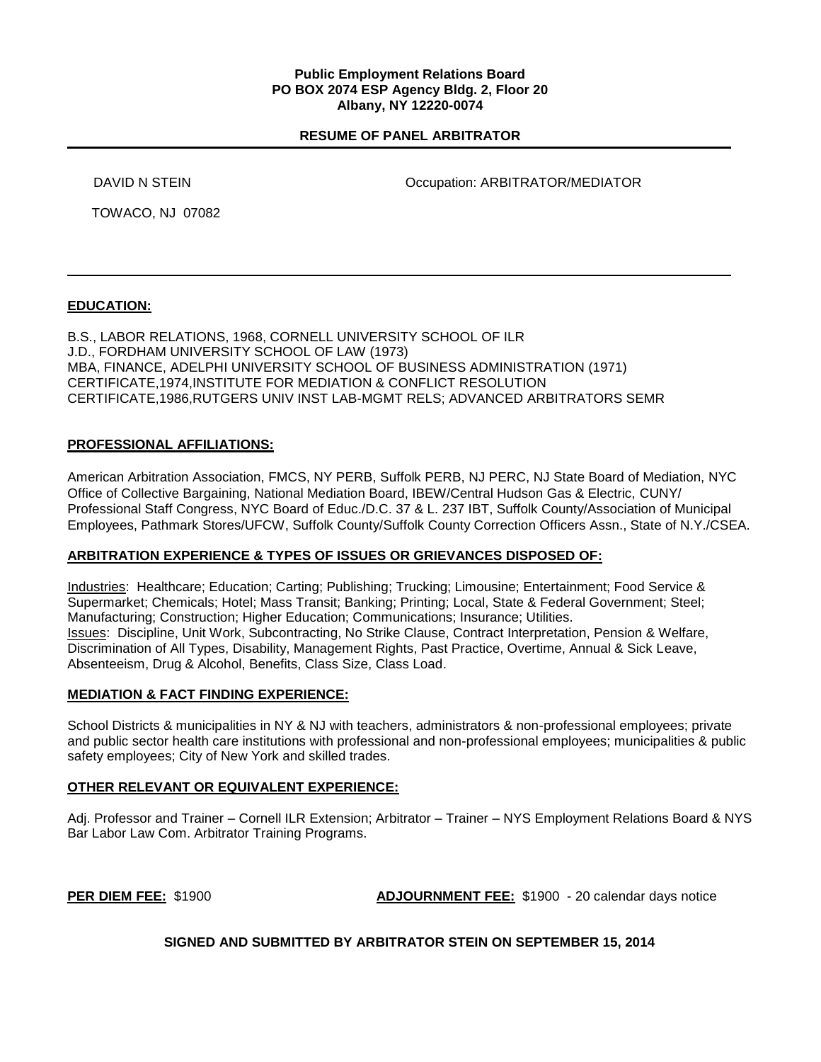### **Public Employment Relations Board PO BOX 2074 ESP Agency Bldg. 2, Floor 20 Albany, NY 12220-0074**

## **RESUME OF PANEL ARBITRATOR**

DAVID N STEIN Occupation: ARBITRATOR/MEDIATOR

TOWACO, NJ 07082

## **EDUCATION:**

B.S., LABOR RELATIONS, 1968, CORNELL UNIVERSITY SCHOOL OF ILR J.D., FORDHAM UNIVERSITY SCHOOL OF LAW (1973) MBA, FINANCE, ADELPHI UNIVERSITY SCHOOL OF BUSINESS ADMINISTRATION (1971) CERTIFICATE,1974,INSTITUTE FOR MEDIATION & CONFLICT RESOLUTION CERTIFICATE,1986,RUTGERS UNIV INST LAB-MGMT RELS; ADVANCED ARBITRATORS SEMR

## **PROFESSIONAL AFFILIATIONS:**

American Arbitration Association, FMCS, NY PERB, Suffolk PERB, NJ PERC, NJ State Board of Mediation, NYC Office of Collective Bargaining, National Mediation Board, IBEW/Central Hudson Gas & Electric, CUNY/ Professional Staff Congress, NYC Board of Educ./D.C. 37 & L. 237 IBT, Suffolk County/Association of Municipal Employees, Pathmark Stores/UFCW, Suffolk County/Suffolk County Correction Officers Assn., State of N.Y./CSEA.

### **ARBITRATION EXPERIENCE & TYPES OF ISSUES OR GRIEVANCES DISPOSED OF:**

Industries: Healthcare; Education; Carting; Publishing; Trucking; Limousine; Entertainment; Food Service & Supermarket; Chemicals; Hotel; Mass Transit; Banking; Printing; Local, State & Federal Government; Steel; Manufacturing; Construction; Higher Education; Communications; Insurance; Utilities. Issues: Discipline, Unit Work, Subcontracting, No Strike Clause, Contract Interpretation, Pension & Welfare, Discrimination of All Types, Disability, Management Rights, Past Practice, Overtime, Annual & Sick Leave, Absenteeism, Drug & Alcohol, Benefits, Class Size, Class Load.

### **MEDIATION & FACT FINDING EXPERIENCE:**

School Districts & municipalities in NY & NJ with teachers, administrators & non-professional employees; private and public sector health care institutions with professional and non-professional employees; municipalities & public safety employees; City of New York and skilled trades.

### **OTHER RELEVANT OR EQUIVALENT EXPERIENCE:**

Adj. Professor and Trainer – Cornell ILR Extension; Arbitrator – Trainer – NYS Employment Relations Board & NYS Bar Labor Law Com. Arbitrator Training Programs.

**PER DIEM FEE:** \$1900 **ADJOURNMENT FEE:** \$1900 - 20 calendar days notice

**SIGNED AND SUBMITTED BY ARBITRATOR STEIN ON SEPTEMBER 15, 2014**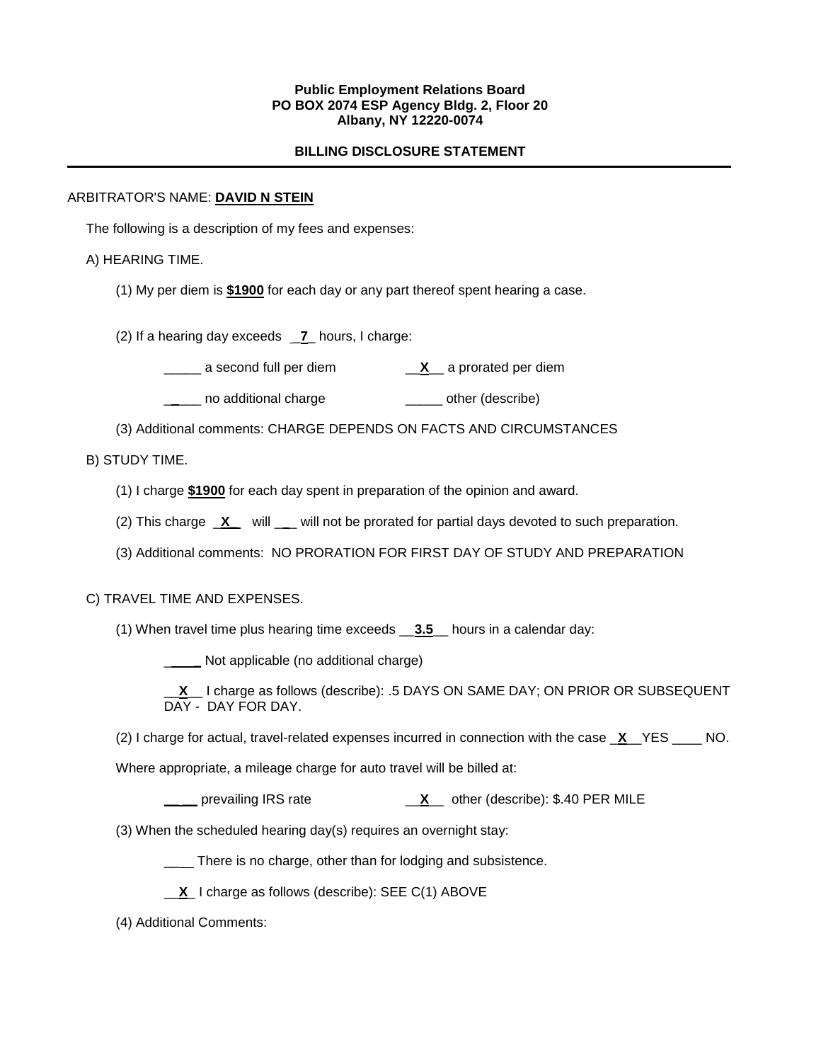### **Public Employment Relations Board PO BOX 2074 ESP Agency Bldg. 2, Floor 20 Albany, NY 12220-0074**

## **BILLING DISCLOSURE STATEMENT**

### ARBITRATOR'S NAME: **DAVID N STEIN**

The following is a description of my fees and expenses:

## A) HEARING TIME.

(1) My per diem is **\$1900** for each day or any part thereof spent hearing a case.

(2) If a hearing day exceeds \_**7**\_ hours, I charge:

\_\_\_\_\_ a second full per diem \_\_**X**\_\_ a prorated per diem

\_\_\_\_\_ no additional charge \_\_\_\_\_\_\_\_ other (describe)

(3) Additional comments: CHARGE DEPENDS ON FACTS AND CIRCUMSTANCES

# B) STUDY TIME.

(1) I charge **\$1900** for each day spent in preparation of the opinion and award.

(2) This charge **X** will will not be prorated for partial days devoted to such preparation.

(3) Additional comments: NO PRORATION FOR FIRST DAY OF STUDY AND PREPARATION

### C) TRAVEL TIME AND EXPENSES.

(1) When travel time plus hearing time exceeds \_\_**3.5**\_\_ hours in a calendar day:

\_ **\_** Not applicable (no additional charge)

\_\_**X**\_\_ I charge as follows (describe): .5 DAYS ON SAME DAY; ON PRIOR OR SUBSEQUENT DAY - DAY FOR DAY.

(2) I charge for actual, travel-related expenses incurred in connection with the case \_**X**\_\_YES \_\_\_\_ NO.

Where appropriate, a mileage charge for auto travel will be billed at:

**\_\_ \_\_** prevailing IRS rate \_\_**X**\_\_ other (describe): \$.40 PER MILE

(3) When the scheduled hearing day(s) requires an overnight stay:

\_\_\_ There is no charge, other than for lodging and subsistence.

\_\_**X**\_ I charge as follows (describe): SEE C(1) ABOVE

(4) Additional Comments: